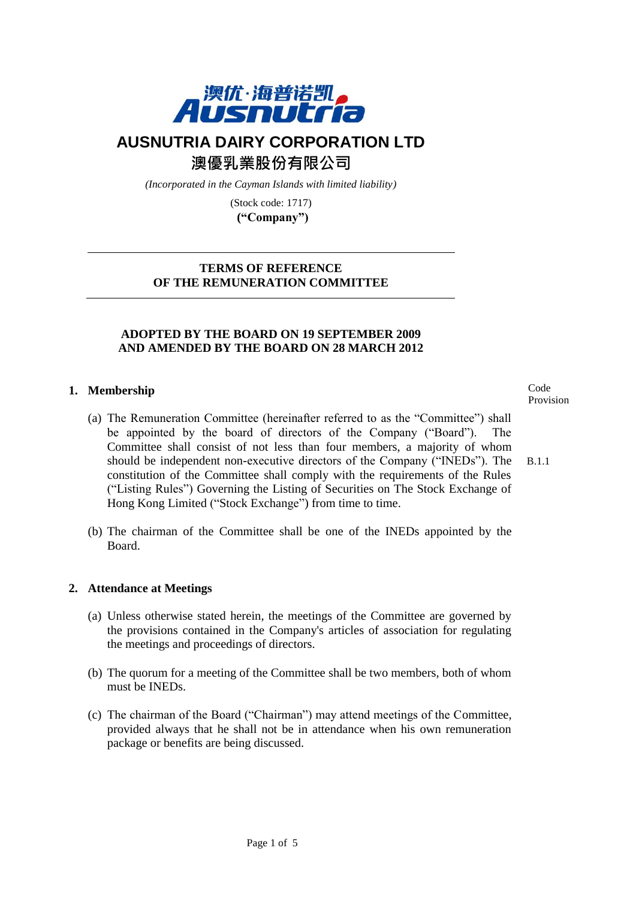

# **AUSNUTRIA DAIRY CORPORATION LTD**

澳優乳業股份有限公司

*(Incorporated in the Cayman Islands with limited liability)*

(Stock code: 1717) **("Company")**

## **TERMS OF REFERENCE OF THE REMUNERATION COMMITTEE**

# **ADOPTED BY THE BOARD ON 19 SEPTEMBER 2009 AND AMENDED BY THE BOARD ON 28 MARCH 2012**

## **1. Membership**

- (a) The Remuneration Committee (hereinafter referred to as the "Committee") shall be appointed by the board of directors of the Company ("Board"). The Committee shall consist of not less than four members, a majority of whom should be independent non-executive directors of the Company ("INEDs"). The constitution of the Committee shall comply with the requirements of the Rules ("Listing Rules") Governing the Listing of Securities on The Stock Exchange of Hong Kong Limited ("Stock Exchange") from time to time. B.1.1
- (b) The chairman of the Committee shall be one of the INEDs appointed by the Board.

#### **2. Attendance at Meetings**

- (a) Unless otherwise stated herein, the meetings of the Committee are governed by the provisions contained in the Company's articles of association for regulating the meetings and proceedings of directors.
- (b) The quorum for a meeting of the Committee shall be two members, both of whom must be INEDs.
- (c) The chairman of the Board ("Chairman") may attend meetings of the Committee, provided always that he shall not be in attendance when his own remuneration package or benefits are being discussed.

Code Provision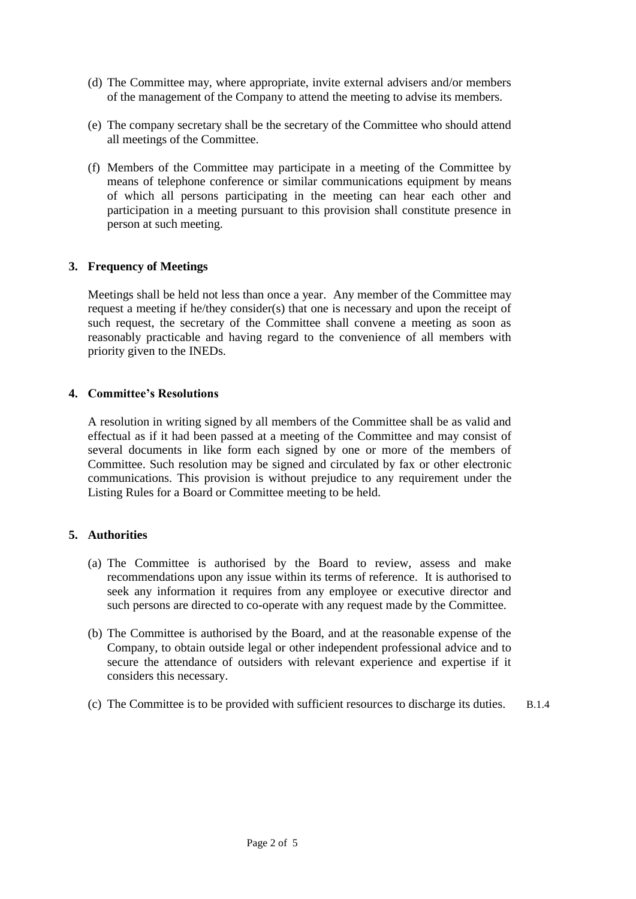- (d) The Committee may, where appropriate, invite external advisers and/or members of the management of the Company to attend the meeting to advise its members.
- (e) The company secretary shall be the secretary of the Committee who should attend all meetings of the Committee.
- (f) Members of the Committee may participate in a meeting of the Committee by means of telephone conference or similar communications equipment by means of which all persons participating in the meeting can hear each other and participation in a meeting pursuant to this provision shall constitute presence in person at such meeting.

#### **3. Frequency of Meetings**

Meetings shall be held not less than once a year. Any member of the Committee may request a meeting if he/they consider(s) that one is necessary and upon the receipt of such request, the secretary of the Committee shall convene a meeting as soon as reasonably practicable and having regard to the convenience of all members with priority given to the INEDs.

#### **4. Committee's Resolutions**

A resolution in writing signed by all members of the Committee shall be as valid and effectual as if it had been passed at a meeting of the Committee and may consist of several documents in like form each signed by one or more of the members of Committee. Such resolution may be signed and circulated by fax or other electronic communications. This provision is without prejudice to any requirement under the Listing Rules for a Board or Committee meeting to be held.

## **5. Authorities**

- (a) The Committee is authorised by the Board to review, assess and make recommendations upon any issue within its terms of reference. It is authorised to seek any information it requires from any employee or executive director and such persons are directed to co-operate with any request made by the Committee.
- (b) The Committee is authorised by the Board, and at the reasonable expense of the Company, to obtain outside legal or other independent professional advice and to secure the attendance of outsiders with relevant experience and expertise if it considers this necessary.
- (c) The Committee is to be provided with sufficient resources to discharge its duties. B.1.4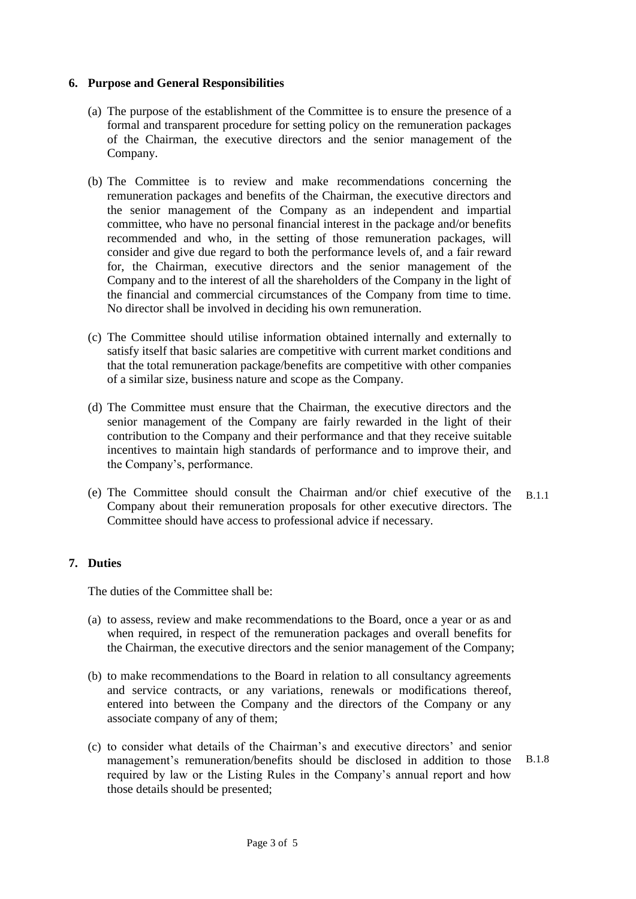#### **6. Purpose and General Responsibilities**

- (a) The purpose of the establishment of the Committee is to ensure the presence of a formal and transparent procedure for setting policy on the remuneration packages of the Chairman, the executive directors and the senior management of the Company.
- (b) The Committee is to review and make recommendations concerning the remuneration packages and benefits of the Chairman, the executive directors and the senior management of the Company as an independent and impartial committee, who have no personal financial interest in the package and/or benefits recommended and who, in the setting of those remuneration packages, will consider and give due regard to both the performance levels of, and a fair reward for, the Chairman, executive directors and the senior management of the Company and to the interest of all the shareholders of the Company in the light of the financial and commercial circumstances of the Company from time to time. No director shall be involved in deciding his own remuneration.
- (c) The Committee should utilise information obtained internally and externally to satisfy itself that basic salaries are competitive with current market conditions and that the total remuneration package/benefits are competitive with other companies of a similar size, business nature and scope as the Company.
- (d) The Committee must ensure that the Chairman, the executive directors and the senior management of the Company are fairly rewarded in the light of their contribution to the Company and their performance and that they receive suitable incentives to maintain high standards of performance and to improve their, and the Company's, performance.
- (e) The Committee should consult the Chairman and/or chief executive of the Company about their remuneration proposals for other executive directors. The Committee should have access to professional advice if necessary. B.1.1

#### **7. Duties**

The duties of the Committee shall be:

- (a) to assess, review and make recommendations to the Board, once a year or as and when required, in respect of the remuneration packages and overall benefits for the Chairman, the executive directors and the senior management of the Company;
- (b) to make recommendations to the Board in relation to all consultancy agreements and service contracts, or any variations, renewals or modifications thereof, entered into between the Company and the directors of the Company or any associate company of any of them;
- (c) to consider what details of the Chairman's and executive directors' and senior management's remuneration/benefits should be disclosed in addition to those required by law or the Listing Rules in the Company's annual report and how those details should be presented; B.1.8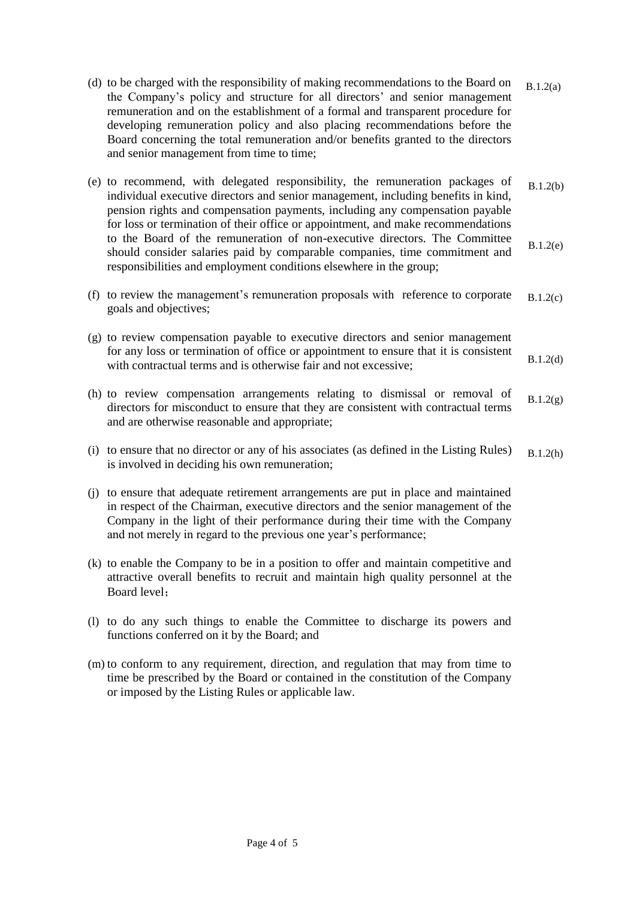- (d) to be charged with the responsibility of making recommendations to the Board on the Company's policy and structure for all directors' and senior management remuneration and on the establishment of a formal and transparent procedure for developing remuneration policy and also placing recommendations before the Board concerning the total remuneration and/or benefits granted to the directors and senior management from time to time; B.1.2(a)
- (e) to recommend, with delegated responsibility, the remuneration packages of individual executive directors and senior management, including benefits in kind, pension rights and compensation payments, including any compensation payable for loss or termination of their office or appointment, and make recommendations to the Board of the remuneration of non-executive directors. The Committee should consider salaries paid by comparable companies, time commitment and responsibilities and employment conditions elsewhere in the group; B.1.2(b) B.1.2(e)
- (f) to review the management's remuneration proposals with reference to corporate goals and objectives; B.1.2(c)
- (g) to review compensation payable to executive directors and senior management for any loss or termination of office or appointment to ensure that it is consistent with contractual terms and is otherwise fair and not excessive: B.1.2(d)
- (h) to review compensation arrangements relating to dismissal or removal of directors for misconduct to ensure that they are consistent with contractual terms and are otherwise reasonable and appropriate;  $B.1.2(g)$
- (i) to ensure that no director or any of his associates (as defined in the Listing Rules) is involved in deciding his own remuneration; B.1.2(h)
- (j) to ensure that adequate retirement arrangements are put in place and maintained in respect of the Chairman, executive directors and the senior management of the Company in the light of their performance during their time with the Company and not merely in regard to the previous one year's performance;
- (k) to enable the Company to be in a position to offer and maintain competitive and attractive overall benefits to recruit and maintain high quality personnel at the Board level;
- (l) to do any such things to enable the Committee to discharge its powers and functions conferred on it by the Board; and
- (m) to conform to any requirement, direction, and regulation that may from time to time be prescribed by the Board or contained in the constitution of the Company or imposed by the Listing Rules or applicable law.